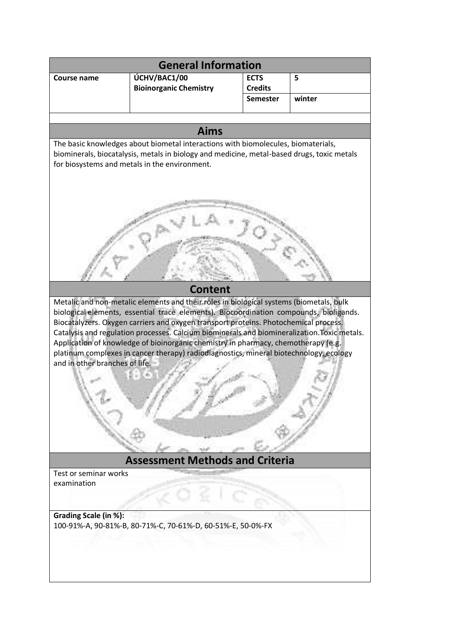| <b>General Information</b>                                                                                                                                                                                                                                                                                                                                                                                                                                                                                                                                                                  |                                                             |                                   |        |
|---------------------------------------------------------------------------------------------------------------------------------------------------------------------------------------------------------------------------------------------------------------------------------------------------------------------------------------------------------------------------------------------------------------------------------------------------------------------------------------------------------------------------------------------------------------------------------------------|-------------------------------------------------------------|-----------------------------------|--------|
| <b>Course name</b>                                                                                                                                                                                                                                                                                                                                                                                                                                                                                                                                                                          | ÚCHV/BAC1/00                                                | <b>ECTS</b>                       | 5      |
|                                                                                                                                                                                                                                                                                                                                                                                                                                                                                                                                                                                             | <b>Bioinorganic Chemistry</b>                               | <b>Credits</b><br><b>Semester</b> | winter |
|                                                                                                                                                                                                                                                                                                                                                                                                                                                                                                                                                                                             |                                                             |                                   |        |
|                                                                                                                                                                                                                                                                                                                                                                                                                                                                                                                                                                                             |                                                             |                                   |        |
| <b>Aims</b><br>The basic knowledges about biometal interactions with biomolecules, biomaterials,                                                                                                                                                                                                                                                                                                                                                                                                                                                                                            |                                                             |                                   |        |
| biominerals, biocatalysis, metals in biology and medicine, metal-based drugs, toxic metals<br>for biosystems and metals in the environment.                                                                                                                                                                                                                                                                                                                                                                                                                                                 |                                                             |                                   |        |
|                                                                                                                                                                                                                                                                                                                                                                                                                                                                                                                                                                                             |                                                             |                                   |        |
| <b>Content</b>                                                                                                                                                                                                                                                                                                                                                                                                                                                                                                                                                                              |                                                             |                                   |        |
| Metalic and non-metalic elements and their roles in biological systems (biometals, bulk<br>biological elements, essential trace elements). Biocoordination compounds, bioligands.<br>Biocatalyzers. Oxygen carriers and oxygen transport proteins. Photochemical process.<br>Catalysis and regulation processes. Calcium biominerals and biomineralization. Toxic metals.<br>Application of knowledge of bioinorganic chemistry in pharmacy, chemotherapy (e.g.<br>platinum complexes in cancer therapy) radiodiagnostics, mineral biotechnology, ecology<br>and in other branches of life. |                                                             |                                   |        |
| <b>Assessment Methods and Criteria</b>                                                                                                                                                                                                                                                                                                                                                                                                                                                                                                                                                      |                                                             |                                   |        |
| Test or seminar works<br>examination                                                                                                                                                                                                                                                                                                                                                                                                                                                                                                                                                        |                                                             |                                   |        |
|                                                                                                                                                                                                                                                                                                                                                                                                                                                                                                                                                                                             |                                                             |                                   |        |
|                                                                                                                                                                                                                                                                                                                                                                                                                                                                                                                                                                                             |                                                             |                                   |        |
| Grading Scale (in %):                                                                                                                                                                                                                                                                                                                                                                                                                                                                                                                                                                       | 100-91%-A, 90-81%-B, 80-71%-C, 70-61%-D, 60-51%-E, 50-0%-FX |                                   |        |